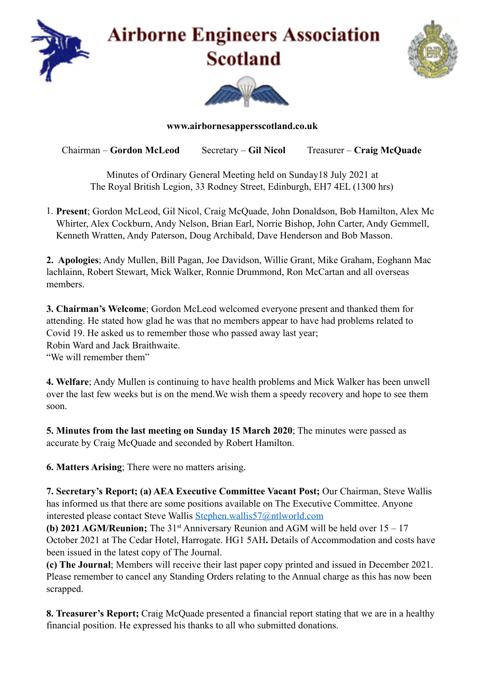

**www.airbornesappersscotland.co.uk** 

Chairman – **Gordon McLeod** Secretary – **Gil Nicol** Treasurer – **Craig McQuade** 

Minutes of Ordinary General Meeting held on Sunday18 July 2021 at The Royal British Legion, 33 Rodney Street, Edinburgh, EH7 4EL (1300 hrs)

1. **Present**; Gordon McLeod, Gil Nicol, Craig McQuade, John Donaldson, Bob Hamilton, Alex Mc Whirter, Alex Cockburn, Andy Nelson, Brian Earl, Norrie Bishop, John Carter, Andy Gemmell, Kenneth Wratten, Andy Paterson, Doug Archibald, Dave Henderson and Bob Masson.

**2. Apologies**; Andy Mullen, Bill Pagan, Joe Davidson, Willie Grant, Mike Graham, Eoghann Mac lachlainn, Robert Stewart, Mick Walker, Ronnie Drummond, Ron McCartan and all overseas members.

**3. Chairman's Welcome**; Gordon McLeod welcomed everyone present and thanked them for attending. He stated how glad he was that no members appear to have had problems related to Covid 19. He asked us to remember those who passed away last year; Robin Ward and Jack Braithwaite. "We will remember them"

**4. Welfare**; Andy Mullen is continuing to have health problems and Mick Walker has been unwell over the last few weeks but is on the mend.We wish them a speedy recovery and hope to see them soon.

**5. Minutes from the last meeting on Sunday 15 March 2020**; The minutes were passed as accurate by Craig McQuade and seconded by Robert Hamilton.

**6. Matters Arising**; There were no matters arising.

**7. Secretary's Report; (a) AEA Executive Committee Vacant Post;** Our Chairman, Steve Wallis has informed us that there are some positions available on The Executive Committee. Anyone interested please contact Steve Wallis [Stephen.wallis57@ntlworld.com](mailto:Stephen.wallis57@ntlworld.com)

**(b) 2021 AGM/Reunion;** The 31<sup>st</sup> Anniversary Reunion and AGM will be held over 15 – 17 October 2021 at The Cedar Hotel, Harrogate. HG1 5AH**.** Details of Accommodation and costs have been issued in the latest copy of The Journal.

**(c) The Journal**; Members will receive their last paper copy printed and issued in December 2021. Please remember to cancel any Standing Orders relating to the Annual charge as this has now been scrapped.

**8. Treasurer's Report;** Craig McQuade presented a financial report stating that we are in a healthy financial position. He expressed his thanks to all who submitted donations.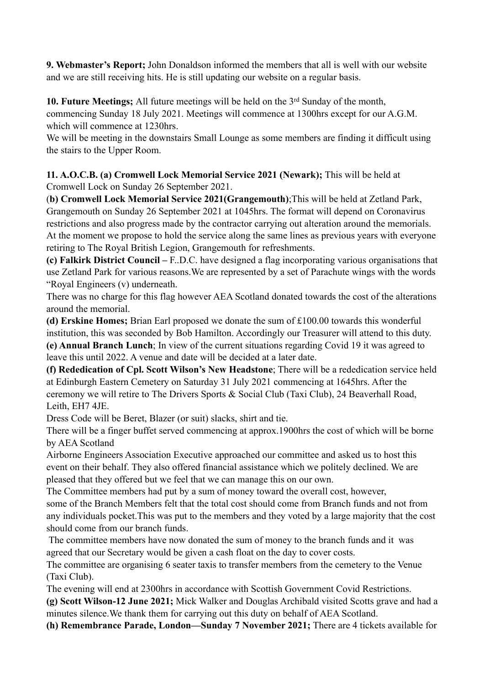**9. Webmaster's Report;** John Donaldson informed the members that all is well with our website and we are still receiving hits. He is still updating our website on a regular basis.

**10. Future Meetings;** All future meetings will be held on the 3rd Sunday of the month, commencing Sunday 18 July 2021. Meetings will commence at 1300hrs except for our A.G.M. which will commence at 1230hrs.

We will be meeting in the downstairs Small Lounge as some members are finding it difficult using the stairs to the Upper Room.

**11. A.O.C.B. (a) Cromwell Lock Memorial Service 2021 (Newark);** This will be held at Cromwell Lock on Sunday 26 September 2021.

(**b) Cromwell Lock Memorial Service 2021(Grangemouth)**;This will be held at Zetland Park, Grangemouth on Sunday 26 September 2021 at 1045hrs. The format will depend on Coronavirus restrictions and also progress made by the contractor carrying out alteration around the memorials. At the moment we propose to hold the service along the same lines as previous years with everyone retiring to The Royal British Legion, Grangemouth for refreshments.

**(c) Falkirk District Council –** F..D.C. have designed a flag incorporating various organisations that use Zetland Park for various reasons.We are represented by a set of Parachute wings with the words "Royal Engineers (v) underneath.

There was no charge for this flag however AEA Scotland donated towards the cost of the alterations around the memorial.

**(d) Erskine Homes;** Brian Earl proposed we donate the sum of £100.00 towards this wonderful institution, this was seconded by Bob Hamilton. Accordingly our Treasurer will attend to this duty. **(e) Annual Branch Lunch**; In view of the current situations regarding Covid 19 it was agreed to leave this until 2022. A venue and date will be decided at a later date.

**(f) Rededication of Cpl. Scott Wilson's New Headstone**; There will be a rededication service held at Edinburgh Eastern Cemetery on Saturday 31 July 2021 commencing at 1645hrs. After the ceremony we will retire to The Drivers Sports & Social Club (Taxi Club), 24 Beaverhall Road, Leith, EH7 4JE.

Dress Code will be Beret, Blazer (or suit) slacks, shirt and tie.

There will be a finger buffet served commencing at approx.1900hrs the cost of which will be borne by AEA Scotland

Airborne Engineers Association Executive approached our committee and asked us to host this event on their behalf. They also offered financial assistance which we politely declined. We are pleased that they offered but we feel that we can manage this on our own.

The Committee members had put by a sum of money toward the overall cost, however, some of the Branch Members felt that the total cost should come from Branch funds and not from any individuals pocket.This was put to the members and they voted by a large majority that the cost should come from our branch funds.

 The committee members have now donated the sum of money to the branch funds and it was agreed that our Secretary would be given a cash float on the day to cover costs.

The committee are organising 6 seater taxis to transfer members from the cemetery to the Venue (Taxi Club).

The evening will end at 2300hrs in accordance with Scottish Government Covid Restrictions.

**(g) Scott Wilson-12 June 2021;** Mick Walker and Douglas Archibald visited Scotts grave and had a minutes silence.We thank them for carrying out this duty on behalf of AEA Scotland.

**(h) Remembrance Parade, London—Sunday 7 November 2021;** There are 4 tickets available for